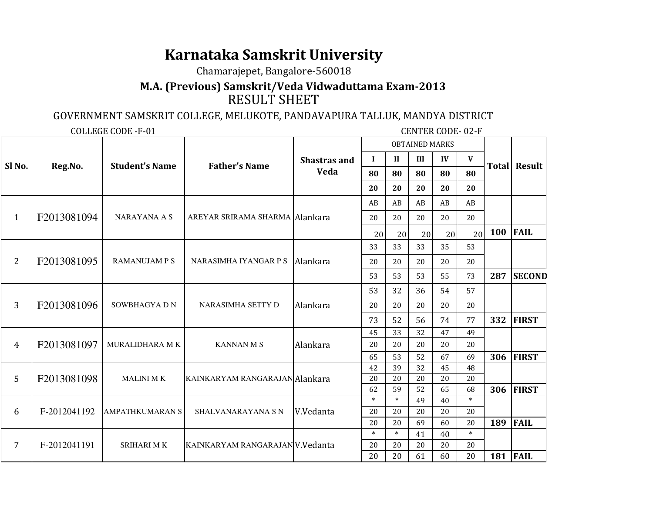## **Karnataka Samskrit University**

Chamarajepet, Bangalore-560018

 **M.A. (Previous) Samskrit/Veda Vidwaduttama Exam-2013**RESULT SHEET

## GOVERNMENT SAMSKRIT COLLEGE, MELUKOTE, PANDAVAPURA TALLUK, MANDYA DISTRICT

COLLEGE CODE -F-01 CENTER CODE- 02-F

| Sl No.         | Reg.No.      | <b>Student's Name</b>  | <b>Father's Name</b>            | <b>Shastras and</b><br>Veda | <b>OBTAINED MARKS</b> |              |          |          |              |                     |                  |
|----------------|--------------|------------------------|---------------------------------|-----------------------------|-----------------------|--------------|----------|----------|--------------|---------------------|------------------|
|                |              |                        |                                 |                             | $\bf{I}$              | $\mathbf{I}$ | III      | IV       | $\mathbf{V}$ | <b>Total Result</b> |                  |
|                |              |                        |                                 |                             | 80                    | 80           | 80       | 80       | 80           |                     |                  |
|                |              |                        |                                 |                             | 20                    | 20           | 20       | 20       | 20           |                     |                  |
| $\mathbf{1}$   | F2013081094  | <b>NARAYANA A S</b>    | AREYAR SRIRAMA SHARMA Alankara  |                             | AB                    | AB           | AB       | AB       | AB           |                     |                  |
|                |              |                        |                                 |                             | 20                    | 20           | 20       | 20       | 20           |                     |                  |
|                |              |                        |                                 |                             | 20                    | 20           | 20       | 20       | 20           | 100                 | <b>FAIL</b>      |
| $\overline{2}$ | F2013081095  | <b>RAMANUJAM P S</b>   | NARASIMHA IYANGAR P S Alankara  |                             | 33                    | 33           | 33       | 35       | 53           |                     |                  |
|                |              |                        |                                 |                             | 20                    | 20           | 20       | 20       | 20           |                     |                  |
|                |              |                        |                                 |                             | 53                    | 53           | 53       | 55       | 73           | 287                 | <b>SECOND</b>    |
| 3              | F2013081096  | SOWBHAGYADN            | NARASIMHA SETTY D               | Alankara                    | 53                    | 32           | 36       | 54       | 57           |                     |                  |
|                |              |                        |                                 |                             | 20                    | 20           | 20       | 20       | 20           |                     |                  |
|                |              |                        |                                 |                             | 73                    | 52           | 56       | 74       | 77           | 332                 | <b>FIRST</b>     |
| 4              | F2013081097  | <b>MURALIDHARA MK</b>  | <b>KANNAN M S</b>               | Alankara                    | 45                    | 33           | 32       | 47       | 49           |                     |                  |
|                |              |                        |                                 |                             | 20                    | 20           | 20       | 20       | 20           |                     |                  |
|                |              |                        |                                 |                             | 65                    | 53           | 52       | 67       | 69           |                     | <b>306 FIRST</b> |
| 5              | F2013081098  | <b>MALINI MK</b>       | KAINKARYAM RANGARAJAN Alankara  |                             | 42<br>20              | 39<br>20     | 32<br>20 | 45<br>20 | 48<br>20     |                     |                  |
|                |              |                        |                                 |                             | 62                    | 59           | 52       | 65       | 68           | 306                 | <b>FIRST</b>     |
| 6              | F-2012041192 | <b>AMPATHKUMARAN S</b> | <b>SHALVANARAYANA S N</b>       | V.Vedanta                   | $\ast$                | $\ast$       | 49       | 40       | $\ast$       |                     |                  |
|                |              |                        |                                 |                             | 20                    | 20           | 20       | 20       | 20           |                     |                  |
|                |              |                        |                                 |                             | 20                    | 20           | 69       | 60       | 20           | 189                 | <b>FAIL</b>      |
| 7              | F-2012041191 | <b>SRIHARI MK</b>      | KAINKARYAM RANGARAJAN V.Vedanta |                             | $\ast$                | $\ast$       | 41       | 40       | $\ast$       |                     |                  |
|                |              |                        |                                 |                             | 20                    | 20           | 20       | 20       | 20           |                     |                  |
|                |              |                        |                                 |                             | 20                    | 20           | 61       | 60       | 20           | 181                 | <b>FAIL</b>      |